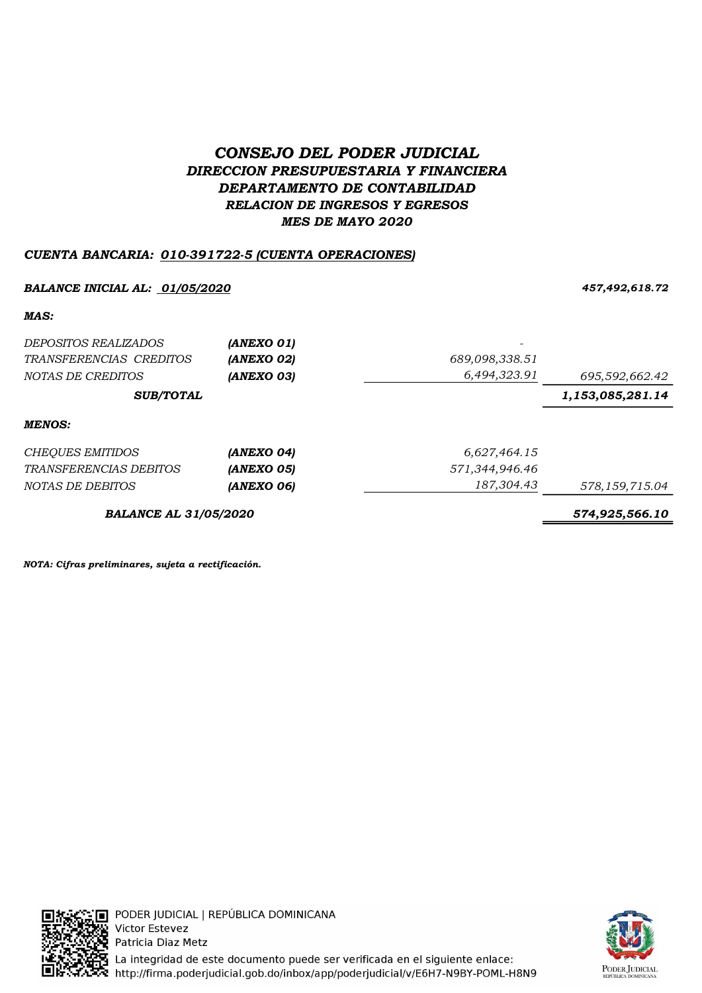# CONSEJO DEL PODER JUDICIAL DIRECCION PRESUPUESTARIA Y FINANCIERA DEPARTAMENTO DE CONTABILIDAD RELACION DE INGRESOS Y EGRESOS MES DE MAYO 2020

## CUENTA BANCARIA: 010-391722-5 (CUENTA OPERACIONES)

### BALANCE INICIAL AL: <u>01/05/2020</u> 2008 457,492,618.72

### MAS:

| <i>DEPOSITOS REALIZADOS</i>   | (ANEXO 01) |                |                  |
|-------------------------------|------------|----------------|------------------|
| TRANSFERENCIAS CREDITOS       | (ANEXO 02) | 689,098,338.51 |                  |
| NOTAS DE CREDITOS             | (ANEXO 03) | 6,494,323.91   | 695,592,662.42   |
| <b>SUB/TOTAL</b>              |            |                | 1,153,085,281.14 |
| <b>MENOS:</b>                 |            |                |                  |
| <b>CHEQUES EMITIDOS</b>       | (ANEXO 04) | 6,627,464.15   |                  |
| <b>TRANSFERENCIAS DEBITOS</b> | (ANEXO 05) | 571,344,946.46 |                  |
| NOTAS DE DEBITOS              | (ANEXO 06) | 187,304.43     | 578,159,715.04   |
| <b>BALANCE AL 31/05/2020</b>  |            |                | 574,925,566.10   |

NOTA: Cifras preliminares, sujeta a rectificación.



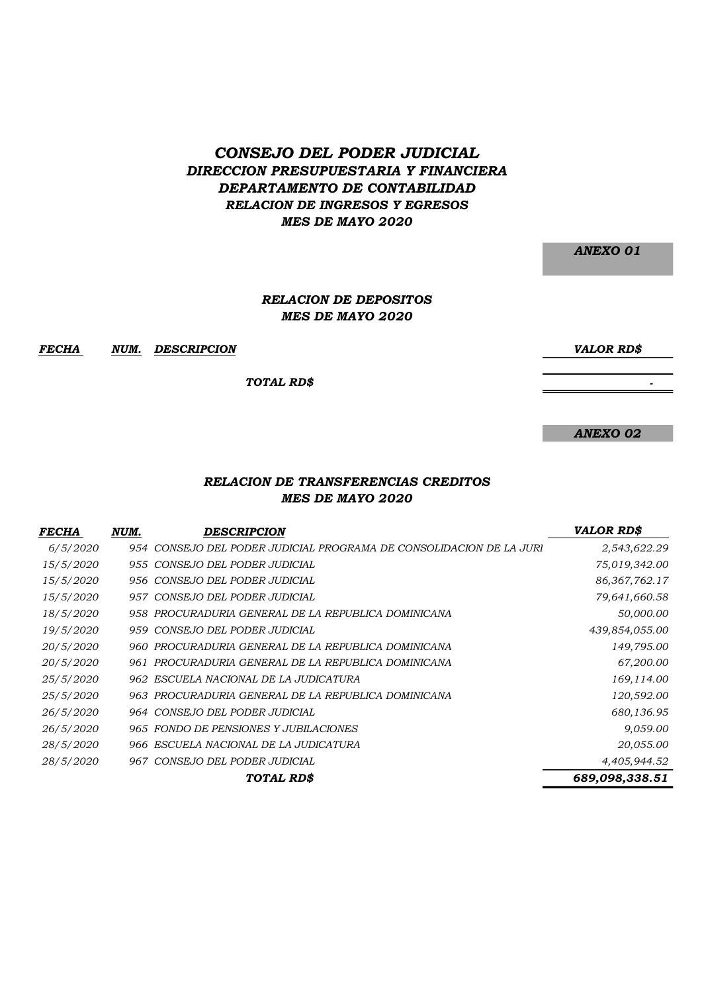## CONSEJO DEL PODER JUDICIAL DIRECCION PRESUPUESTARIA Y FINANCIERA DEPARTAMENTO DE CONTABILIDAD RELACION DE INGRESOS Y EGRESOS MES DE MAYO 2020

ANEXO 01

#### MES DE MAYO 2020 RELACION DE DEPOSITOS

FECHA NUM. DESCRIPCION VALOR RD\$

TOTAL RD\$

ANEXO 02

- 1990 - 1990 - 1990 - 1990 - 1990 - 1990 - 1990 - 1990 - 1990 - 1990 - 1990 - 1990 - 1990 - 1990 - 1990 - 199

### RELACION DE TRANSFERENCIAS CREDITOS MES DE MAYO 2020

| <i>FECHA</i>     | NUM. | <b>DESCRIPCION</b>                                                  | <b>VALOR RD\$</b> |
|------------------|------|---------------------------------------------------------------------|-------------------|
| 6/5/2020         |      | 954 CONSEJO DEL PODER JUDICIAL PROGRAMA DE CONSOLIDACIÓN DE LA JURI | 2,543,622.29      |
| 15/5/2020        |      | 955 CONSEJO DEL PODER JUDICIAL                                      | 75,019,342.00     |
| 15/5/2020        |      | 956 CONSEJO DEL PODER JUDICIAL                                      | 86, 367, 762. 17  |
| 15/5/2020        |      | 957 CONSEJO DEL PODER JUDICIAL                                      | 79,641,660.58     |
| 18/5/2020        |      | 958 PROCURADURIA GENERAL DE LA REPUBLICA DOMINICANA                 | 50,000.00         |
| 19/5/2020        |      | 959 CONSEJO DEL PODER JUDICIAL                                      | 439,854,055.00    |
| 20/5/2020        |      | 960 PROCURADURIA GENERAL DE LA REPUBLICA DOMINICANA                 | 149,795.00        |
| <i>20/5/2020</i> | 961  | PROCURADURIA GENERAL DE LA REPUBLICA DOMINICANA                     | 67,200.00         |
| 25/5/2020        |      | 962 ESCUELA NACIONAL DE LA JUDICATURA                               | 169,114.00        |
| 25/5/2020        |      | 963 PROCURADURIA GENERAL DE LA REPUBLICA DOMINICANA                 | 120,592.00        |
| 26/5/2020        |      | 964 CONSEJO DEL PODER JUDICIAL                                      | 680,136.95        |
| 26/5/2020        |      | 965 FONDO DE PENSIONES Y JUBILACIONES                               | 9,059.00          |
| 28/5/2020        |      | 966 ESCUELA NACIONAL DE LA JUDICATURA                               | 20,055.00         |
| 28/5/2020        |      | 967 CONSEJO DEL PODER JUDICIAL                                      | 4,405,944.52      |
|                  |      | <b>TOTAL RD\$</b>                                                   | 689,098,338.51    |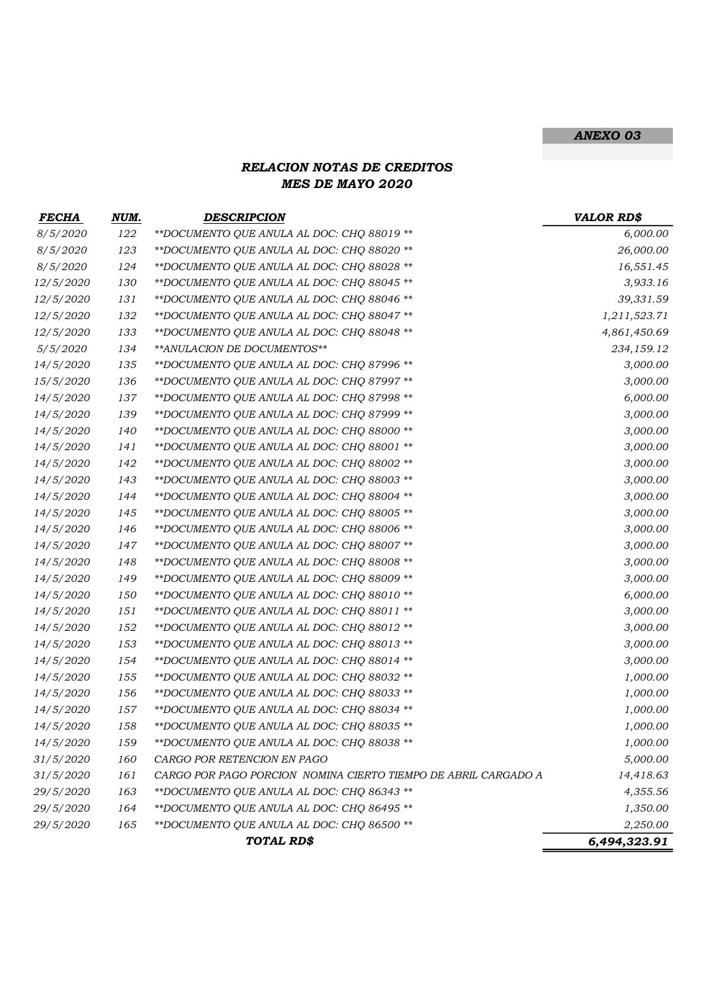## ANEXO 03

## RELACION NOTAS DE CREDITOS MES DE MAYO 2020

| <b>FECHA</b>     | NUM. | <b>DESCRIPCION</b>                                             | <b>VALOR RD\$</b> |
|------------------|------|----------------------------------------------------------------|-------------------|
| 8/5/2020         | 122  | ** DOCUMENTO QUE ANULA AL DOC: CHQ 88019 **                    | 6,000.00          |
| 8/5/2020         | 123  | **DOCUMENTO QUE ANULA AL DOC: CHQ 88020 **                     | 26,000.00         |
| 8/5/2020         | 124  | **DOCUMENTO QUE ANULA AL DOC: CHQ 88028 **                     | 16,551.45         |
| 12/5/2020        | 130  | **DOCUMENTO QUE ANULA AL DOC: CHQ 88045 **                     | 3,933.16          |
| 12/5/2020        | 131  | **DOCUMENTO QUE ANULA AL DOC: CHQ 88046 **                     | 39,331.59         |
| 12/5/2020        | 132  | **DOCUMENTO QUE ANULA AL DOC: CHQ 88047 **                     | 1,211,523.71      |
| 12/5/2020        | 133  | **DOCUMENTO QUE ANULA AL DOC: CHQ 88048 **                     | 4,861,450.69      |
| 5/5/2020         | 134  | ** ANULACION DE DOCUMENTOS**                                   | 234,159.12        |
| 14/5/2020        | 135  | **DOCUMENTO QUE ANULA AL DOC: CHQ 87996 **                     | 3,000.00          |
| 15/5/2020        | 136  | **DOCUMENTO QUE ANULA AL DOC: CHQ 87997 **                     | 3,000.00          |
| 14/5/2020        | 137  | **DOCUMENTO QUE ANULA AL DOC: CHQ 87998 **                     | 6,000.00          |
| 14/5/2020        | 139  | ** DOCUMENTO QUE ANULA AL DOC: CHQ 87999 **                    | 3,000.00          |
| 14/5/2020        | 140  | **DOCUMENTO QUE ANULA AL DOC: CHQ 88000 **                     | 3,000.00          |
| 14/5/2020        | 141  | **DOCUMENTO QUE ANULA AL DOC: CHQ 88001 **                     | 3,000.00          |
| 14/5/2020        | 142  | **DOCUMENTO QUE ANULA AL DOC: CHQ 88002 **                     | 3,000.00          |
| 14/5/2020        | 143  | **DOCUMENTO QUE ANULA AL DOC: CHQ 88003 **                     | 3,000.00          |
| 14/5/2020        | 144  | **DOCUMENTO QUE ANULA AL DOC: CHQ 88004 **                     | 3,000.00          |
| 14/5/2020        | 145  | **DOCUMENTO QUE ANULA AL DOC: CHQ 88005 **                     | 3,000.00          |
| 14/5/2020        | 146  | **DOCUMENTO QUE ANULA AL DOC: CHQ 88006 **                     | 3,000.00          |
| 14/5/2020        | 147  | **DOCUMENTO QUE ANULA AL DOC: CHQ 88007 **                     | 3,000.00          |
| 14/5/2020        | 148  | **DOCUMENTO QUE ANULA AL DOC: CHQ 88008 **                     | 3,000.00          |
| 14/5/2020        | 149  | **DOCUMENTO QUE ANULA AL DOC: CHQ 88009 **                     | 3,000.00          |
| 14/5/2020        | 150  | **DOCUMENTO QUE ANULA AL DOC: CHQ 88010 **                     | 6,000.00          |
| 14/5/2020        | 151  | **DOCUMENTO QUE ANULA AL DOC: CHQ 88011 **                     | 3,000.00          |
| 14/5/2020        | 152  | **DOCUMENTO QUE ANULA AL DOC: CHQ 88012 **                     | 3,000.00          |
| 14/5/2020        | 153  | **DOCUMENTO QUE ANULA AL DOC: CHQ 88013 **                     | 3,000.00          |
| 14/5/2020        | 154  | **DOCUMENTO QUE ANULA AL DOC: CHQ 88014 **                     | 3,000.00          |
| 14/5/2020        | 155  | **DOCUMENTO QUE ANULA AL DOC: CHQ 88032 **                     | 1,000.00          |
| 14/5/2020        | 156  | **DOCUMENTO QUE ANULA AL DOC: CHQ 88033 **                     | 1,000.00          |
| 14/5/2020        | 157  | **DOCUMENTO QUE ANULA AL DOC: CHQ 88034 **                     | 1,000.00          |
| 14/5/2020        | 158  | **DOCUMENTO QUE ANULA AL DOC: CHQ 88035 **                     | 1,000.00          |
| 14/5/2020        | 159  | ** DOCUMENTO QUE ANULA AL DOC: CHQ 88038 **                    | 1,000.00          |
| 31/5/2020        | 160  | CARGO POR RETENCION EN PAGO                                    | 5,000.00          |
| <i>31/5/2020</i> | 161  | CARGO POR PAGO PORCION NOMINA CIERTO TIEMPO DE ABRIL CARGADO A | 14,418.63         |
| 29/5/2020        | 163  | ** DOCUMENTO QUE ANULA AL DOC: CHQ 86343 **                    | 4,355.56          |
| <i>29/5/2020</i> | 164  | **DOCUMENTO QUE ANULA AL DOC: CHQ 86495 **                     | 1,350.00          |
| 29/5/2020        | 165  | **DOCUMENTO QUE ANULA AL DOC: CHQ 86500 **                     | 2,250.00          |
|                  |      | TOTAL RD\$                                                     | 6,494,323.91      |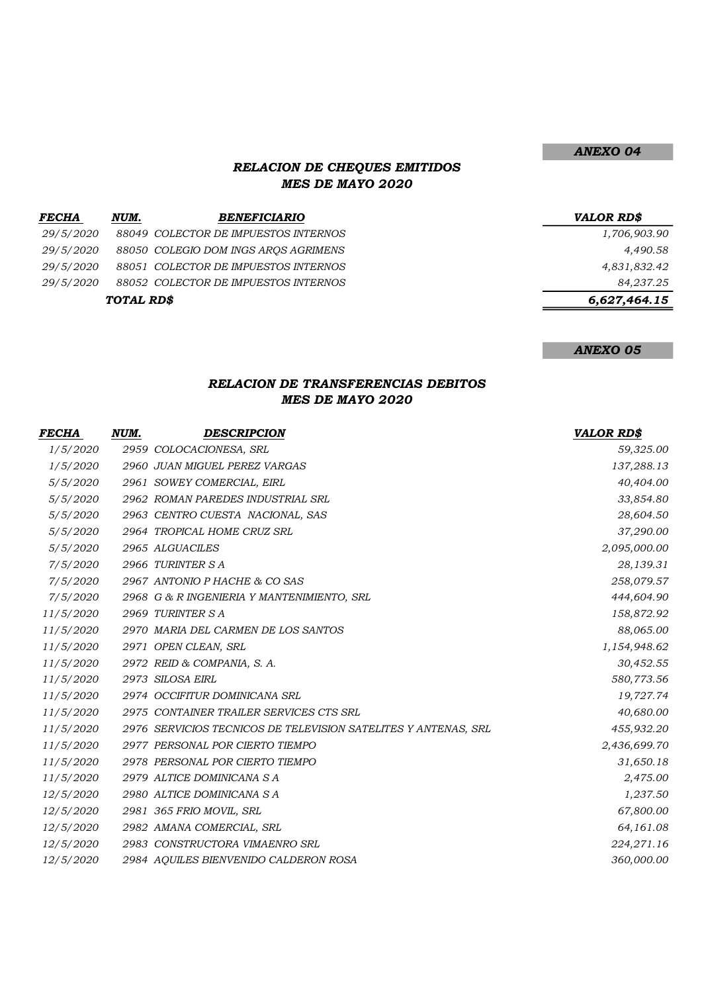## RELACION DE CHEQUES EMITIDOS MES DE MAYO 2020

| <b>FECHA</b> | NUM.       | <i><b>BENEFICIARIO</b></i>           | <b>VALOR RDS</b> |
|--------------|------------|--------------------------------------|------------------|
| 29/5/2020    |            | 88049 COLECTOR DE IMPUESTOS INTERNOS | 1,706,903.90     |
| 29/5/2020    |            | 88050 COLEGIO DOM INGS AROS AGRIMENS | 4,490.58         |
| 29/5/2020    |            | 88051 COLECTOR DE IMPUESTOS INTERNOS | 4,831,832.42     |
| 29/5/2020    |            | 88052 COLECTOR DE IMPUESTOS INTERNOS | 84,237.25        |
|              | TOTAL RD\$ |                                      | 6,627,464.15     |

ANEXO 05

## RELACION DE TRANSFERENCIAS DEBITOS MES DE MAYO 2020

| FECHA            | NUM. | <b>DESCRIPCION</b>                                             | <b>VALOR RD\$</b> |
|------------------|------|----------------------------------------------------------------|-------------------|
| 1/5/2020         |      | 2959 COLOCACIONESA, SRL                                        | 59,325.00         |
| <i>1/5/2020</i>  |      | 2960 JUAN MIGUEL PEREZ VARGAS                                  | 137,288.13        |
| 5/5/2020         |      | 2961 SOWEY COMERCIAL, EIRL                                     | 40,404.00         |
| 5/5/2020         |      | 2962 ROMAN PAREDES INDUSTRIAL SRL                              | 33,854.80         |
| 5/5/2020         |      | 2963 CENTRO CUESTA NACIONAL, SAS                               | 28,604.50         |
| 5/5/2020         |      | 2964 TROPICAL HOME CRUZ SRL                                    | 37,290.00         |
| 5/5/2020         |      | 2965 ALGUACILES                                                | 2,095,000.00      |
| 7/5/2020         |      | 2966 TURINTER SA                                               | 28,139.31         |
| 7/5/2020         |      | 2967 ANTONIO P HACHE & CO SAS                                  | 258,079.57        |
| 7/5/2020         |      | 2968 G & R INGENIERIA Y MANTENIMIENTO, SRL                     | 444,604.90        |
| 11/5/2020        |      | 2969 TURINTER S A                                              | 158,872.92        |
| <i>11/5/2020</i> |      | 2970 MARIA DEL CARMEN DE LOS SANTOS                            | 88,065.00         |
| 11/5/2020        |      | 2971 OPEN CLEAN, SRL                                           | 1,154,948.62      |
| 11/5/2020        |      | 2972 REID & COMPANIA, S. A.                                    | 30,452.55         |
| <i>11/5/2020</i> |      | 2973 SILOSA EIRL                                               | 580,773.56        |
| 11/5/2020        |      | 2974 OCCIFITUR DOMINICANA SRL                                  | 19,727.74         |
| 11/5/2020        |      | 2975 CONTAINER TRAILER SERVICES CTS SRL                        | 40,680.00         |
| 11/5/2020        |      | 2976 SERVICIOS TECNICOS DE TELEVISION SATELITES Y ANTENAS, SRL | 455,932.20        |
| 11/5/2020        |      | 2977 PERSONAL POR CIERTO TIEMPO                                | 2,436,699.70      |
| 11/5/2020        |      | 2978 PERSONAL POR CIERTO TIEMPO                                | 31,650.18         |
| 11/5/2020        |      | 2979 ALTICE DOMINICANA SA                                      | 2,475.00          |
| 12/5/2020        |      | 2980 ALTICE DOMINICANA SA                                      | 1,237.50          |
| 12/5/2020        |      | 2981 365 FRIO MOVIL, SRL                                       | 67,800.00         |
| 12/5/2020        |      | 2982 AMANA COMERCIAL, SRL                                      | 64,161.08         |
| 12/5/2020        |      | 2983 CONSTRUCTORA VIMAENRO SRL                                 | 224,271.16        |
| <i>12/5/2020</i> |      | 2984 AQUILES BIENVENIDO CALDERON ROSA                          | 360,000.00        |

### ANEXO 04

1,706,903.90

6,627,464.15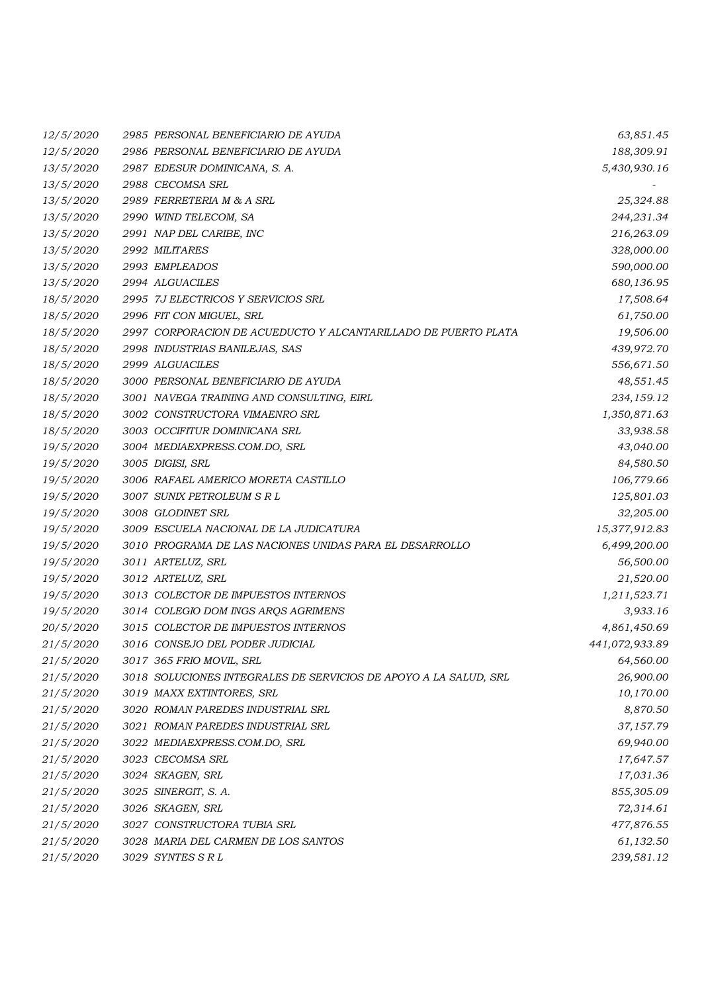| 12/5/2020 | 2985 PERSONAL BENEFICIARIO DE AYUDA                              | 63,851.45      |
|-----------|------------------------------------------------------------------|----------------|
| 12/5/2020 | 2986 PERSONAL BENEFICIARIO DE AYUDA                              | 188,309.91     |
| 13/5/2020 | 2987 EDESUR DOMINICANA, S. A.                                    | 5,430,930.16   |
| 13/5/2020 | 2988 CECOMSA SRL                                                 |                |
| 13/5/2020 | 2989 FERRETERIA M & A SRL                                        | 25,324.88      |
| 13/5/2020 | 2990 WIND TELECOM, SA                                            | 244,231.34     |
| 13/5/2020 | 2991 NAP DEL CARIBE, INC                                         | 216,263.09     |
| 13/5/2020 | 2992 MILITARES                                                   | 328,000.00     |
| 13/5/2020 | 2993 EMPLEADOS                                                   | 590,000.00     |
| 13/5/2020 | 2994 ALGUACILES                                                  | 680,136.95     |
| 18/5/2020 | 2995 7J ELECTRICOS Y SERVICIOS SRL                               | 17,508.64      |
| 18/5/2020 | 2996 FIT CON MIGUEL, SRL                                         | 61,750.00      |
| 18/5/2020 | 2997 CORPORACION DE ACUEDUCTO Y ALCANTARILLADO DE PUERTO PLATA   | 19,506.00      |
| 18/5/2020 | 2998 INDUSTRIAS BANILEJAS, SAS                                   | 439,972.70     |
| 18/5/2020 | 2999 ALGUACILES                                                  | 556,671.50     |
| 18/5/2020 | 3000 PERSONAL BENEFICIARIO DE AYUDA                              | 48,551.45      |
| 18/5/2020 | 3001 NAVEGA TRAINING AND CONSULTING, EIRL                        | 234,159.12     |
| 18/5/2020 | 3002 CONSTRUCTORA VIMAENRO SRL                                   | 1,350,871.63   |
| 18/5/2020 | 3003 OCCIFITUR DOMINICANA SRL                                    | 33,938.58      |
| 19/5/2020 | 3004 MEDIAEXPRESS.COM.DO, SRL                                    | 43,040.00      |
| 19/5/2020 | 3005 DIGISI, SRL                                                 | 84,580.50      |
| 19/5/2020 | 3006 RAFAEL AMERICO MORETA CASTILLO                              | 106,779.66     |
| 19/5/2020 | 3007 SUNIX PETROLEUM S R L                                       | 125,801.03     |
| 19/5/2020 | 3008 GLODINET SRL                                                | 32,205.00      |
| 19/5/2020 | 3009 ESCUELA NACIONAL DE LA JUDICATURA                           | 15,377,912.83  |
| 19/5/2020 | 3010 PROGRAMA DE LAS NACIONES UNIDAS PARA EL DESARROLLO          | 6,499,200.00   |
| 19/5/2020 | 3011 ARTELUZ, SRL                                                | 56,500.00      |
| 19/5/2020 | 3012 ARTELUZ, SRL                                                | 21,520.00      |
| 19/5/2020 | 3013 COLECTOR DE IMPUESTOS INTERNOS                              | 1,211,523.71   |
| 19/5/2020 | 3014 COLEGIO DOM INGS ARQS AGRIMENS                              | 3,933.16       |
| 20/5/2020 | 3015 COLECTOR DE IMPUESTOS INTERNOS                              | 4,861,450.69   |
| 21/5/2020 | 3016 CONSEJO DEL PODER JUDICIAL                                  | 441,072,933.89 |
| 21/5/2020 | 3017 365 FRIO MOVIL, SRL                                         | 64,560.00      |
| 21/5/2020 | 3018 SOLUCIONES INTEGRALES DE SERVICIOS DE APOYO A LA SALUD, SRL | 26,900.00      |
| 21/5/2020 | 3019 MAXX EXTINTORES, SRL                                        | 10,170.00      |
| 21/5/2020 | 3020 ROMAN PAREDES INDUSTRIAL SRL                                | 8,870.50       |
| 21/5/2020 | 3021 ROMAN PAREDES INDUSTRIAL SRL                                | 37,157.79      |
| 21/5/2020 | 3022 MEDIAEXPRESS.COM.DO, SRL                                    | 69,940.00      |
| 21/5/2020 | 3023 CECOMSA SRL                                                 | 17,647.57      |
| 21/5/2020 | 3024 SKAGEN, SRL                                                 | 17,031.36      |
| 21/5/2020 | 3025 SINERGIT, S. A.                                             | 855,305.09     |
| 21/5/2020 | 3026 SKAGEN, SRL                                                 | 72,314.61      |
| 21/5/2020 | 3027 CONSTRUCTORA TUBIA SRL                                      | 477,876.55     |
| 21/5/2020 | 3028 MARIA DEL CARMEN DE LOS SANTOS                              | 61,132.50      |
| 21/5/2020 | 3029 SYNTES SRL                                                  | 239,581.12     |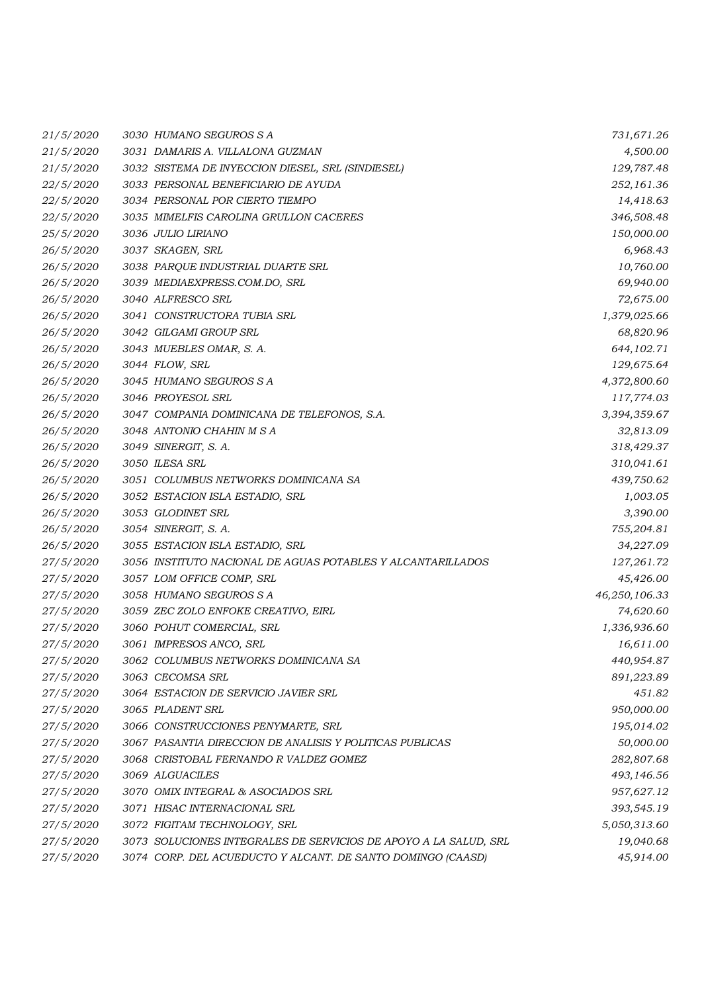| 21/5/2020 | 3030 HUMANO SEGUROS S A                                          | 731,671.26    |
|-----------|------------------------------------------------------------------|---------------|
| 21/5/2020 | 3031 DAMARIS A. VILLALONA GUZMAN                                 | 4,500.00      |
| 21/5/2020 | 3032 SISTEMA DE INYECCION DIESEL, SRL (SINDIESEL)                | 129,787.48    |
| 22/5/2020 | 3033 PERSONAL BENEFICIARIO DE AYUDA                              | 252,161.36    |
| 22/5/2020 | 3034 PERSONAL POR CIERTO TIEMPO                                  | 14,418.63     |
| 22/5/2020 | 3035 MIMELFIS CAROLINA GRULLON CACERES                           | 346,508.48    |
| 25/5/2020 | 3036 JULIO LIRIANO                                               | 150,000.00    |
| 26/5/2020 | 3037 SKAGEN, SRL                                                 | 6,968.43      |
| 26/5/2020 | 3038 PARQUE INDUSTRIAL DUARTE SRL                                | 10,760.00     |
| 26/5/2020 | 3039 MEDIAEXPRESS.COM.DO, SRL                                    | 69,940.00     |
| 26/5/2020 | 3040 ALFRESCO SRL                                                | 72,675.00     |
| 26/5/2020 | 3041 CONSTRUCTORA TUBIA SRL                                      | 1,379,025.66  |
| 26/5/2020 | 3042 GILGAMI GROUP SRL                                           | 68,820.96     |
| 26/5/2020 | 3043 MUEBLES OMAR, S. A.                                         | 644, 102. 71  |
| 26/5/2020 | 3044 FLOW, SRL                                                   | 129,675.64    |
| 26/5/2020 | 3045 HUMANO SEGUROS S A                                          | 4,372,800.60  |
| 26/5/2020 | 3046 PROYESOL SRL                                                | 117,774.03    |
| 26/5/2020 | 3047 COMPANIA DOMINICANA DE TELEFONOS, S.A.                      | 3,394,359.67  |
| 26/5/2020 | 3048 ANTONIO CHAHIN M S A                                        | 32,813.09     |
| 26/5/2020 | 3049 SINERGIT, S. A.                                             | 318,429.37    |
| 26/5/2020 | 3050 ILESA SRL                                                   | 310,041.61    |
| 26/5/2020 | 3051 COLUMBUS NETWORKS DOMINICANA SA                             | 439,750.62    |
| 26/5/2020 | 3052 ESTACION ISLA ESTADIO, SRL                                  | 1,003.05      |
| 26/5/2020 | 3053 GLODINET SRL                                                | 3,390.00      |
| 26/5/2020 | 3054 SINERGIT, S. A.                                             | 755,204.81    |
| 26/5/2020 | 3055 ESTACION ISLA ESTADIO, SRL                                  | 34,227.09     |
| 27/5/2020 | 3056 INSTITUTO NACIONAL DE AGUAS POTABLES Y ALCANTARILLADOS      | 127,261.72    |
| 27/5/2020 | 3057 LOM OFFICE COMP, SRL                                        | 45,426.00     |
| 27/5/2020 | 3058 HUMANO SEGUROS S A                                          | 46,250,106.33 |
| 27/5/2020 | 3059 ZEC ZOLO ENFOKE CREATIVO, EIRL                              | 74,620.60     |
| 27/5/2020 | 3060 POHUT COMERCIAL, SRL                                        | 1,336,936.60  |
| 27/5/2020 | 3061 IMPRESOS ANCO, SRL                                          | 16,611.00     |
| 27/5/2020 | 3062 COLUMBUS NETWORKS DOMINICANA SA                             | 440,954.87    |
| 27/5/2020 | 3063 CECOMSA SRL                                                 | 891,223.89    |
| 27/5/2020 | 3064 ESTACION DE SERVICIO JAVIER SRL                             | 451.82        |
| 27/5/2020 | 3065 PLADENT SRL                                                 | 950,000.00    |
| 27/5/2020 | 3066 CONSTRUCCIONES PENYMARTE, SRL                               | 195,014.02    |
| 27/5/2020 | 3067 PASANTIA DIRECCION DE ANALISIS Y POLITICAS PUBLICAS         | 50,000.00     |
| 27/5/2020 | 3068 CRISTOBAL FERNANDO R VALDEZ GOMEZ                           | 282,807.68    |
| 27/5/2020 | 3069 ALGUACILES                                                  | 493,146.56    |
| 27/5/2020 | 3070 OMIX INTEGRAL & ASOCIADOS SRL                               | 957,627.12    |
| 27/5/2020 | 3071 HISAC INTERNACIONAL SRL                                     | 393,545.19    |
| 27/5/2020 | 3072 FIGITAM TECHNOLOGY, SRL                                     | 5,050,313.60  |
| 27/5/2020 | 3073 SOLUCIONES INTEGRALES DE SERVICIOS DE APOYO A LA SALUD, SRL | 19,040.68     |
| 27/5/2020 | 3074 CORP. DEL ACUEDUCTO Y ALCANT. DE SANTO DOMINGO (CAASD)      | 45,914.00     |